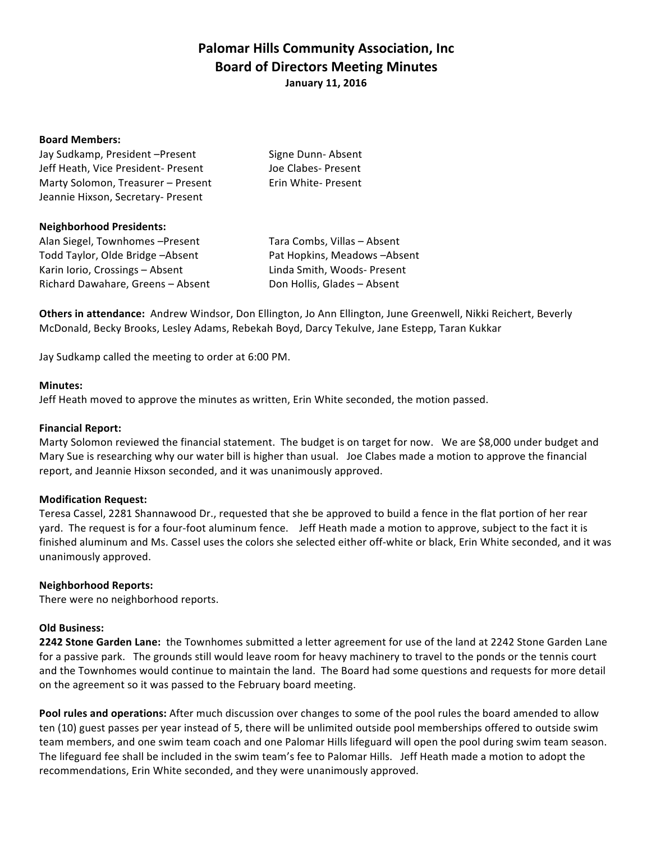# **Palomar Hills Community Association, Inc. Board of Directors Meeting Minutes January 11, 2016**

#### **Board Members:**

| Jay Sudkamp, President - Present    | Signe Dunn-Absent   |
|-------------------------------------|---------------------|
| Jeff Heath, Vice President- Present | Joe Clabes- Present |
| Marty Solomon, Treasurer - Present  | Erin White- Present |
| Jeannie Hixson, Secretary- Present  |                     |

#### **Neighborhood Presidents:**

Alan Siegel, Townhomes -Present Tara Combs, Villas - Absent Todd Taylor, Olde Bridge –Absent **Pat Hopkins, Meadows** –Absent Karin Iorio, Crossings – Absent Linda Smith, Woods- Present Richard Dawahare, Greens - Absent Don Hollis, Glades - Absent

**Others in attendance:** Andrew Windsor, Don Ellington, Jo Ann Ellington, June Greenwell, Nikki Reichert, Beverly McDonald, Becky Brooks, Lesley Adams, Rebekah Boyd, Darcy Tekulve, Jane Estepp, Taran Kukkar

Jay Sudkamp called the meeting to order at 6:00 PM.

#### **Minutes:**

Jeff Heath moved to approve the minutes as written, Erin White seconded, the motion passed.

# **Financial Report:**

Marty Solomon reviewed the financial statement. The budget is on target for now. We are \$8,000 under budget and Mary Sue is researching why our water bill is higher than usual. Joe Clabes made a motion to approve the financial report, and Jeannie Hixson seconded, and it was unanimously approved.

# **Modification Request:**

Teresa Cassel, 2281 Shannawood Dr., requested that she be approved to build a fence in the flat portion of her rear yard. The request is for a four-foot aluminum fence. Jeff Heath made a motion to approve, subject to the fact it is finished aluminum and Ms. Cassel uses the colors she selected either off-white or black, Erin White seconded, and it was unanimously approved.

# **Neighborhood Reports:**

There were no neighborhood reports.

# **Old Business:**

**2242 Stone Garden Lane:** the Townhomes submitted a letter agreement for use of the land at 2242 Stone Garden Lane for a passive park. The grounds still would leave room for heavy machinery to travel to the ponds or the tennis court and the Townhomes would continue to maintain the land. The Board had some questions and requests for more detail on the agreement so it was passed to the February board meeting.

Pool rules and operations: After much discussion over changes to some of the pool rules the board amended to allow ten (10) guest passes per year instead of 5, there will be unlimited outside pool memberships offered to outside swim team members, and one swim team coach and one Palomar Hills lifeguard will open the pool during swim team season. The lifeguard fee shall be included in the swim team's fee to Palomar Hills. Jeff Heath made a motion to adopt the recommendations, Erin White seconded, and they were unanimously approved.